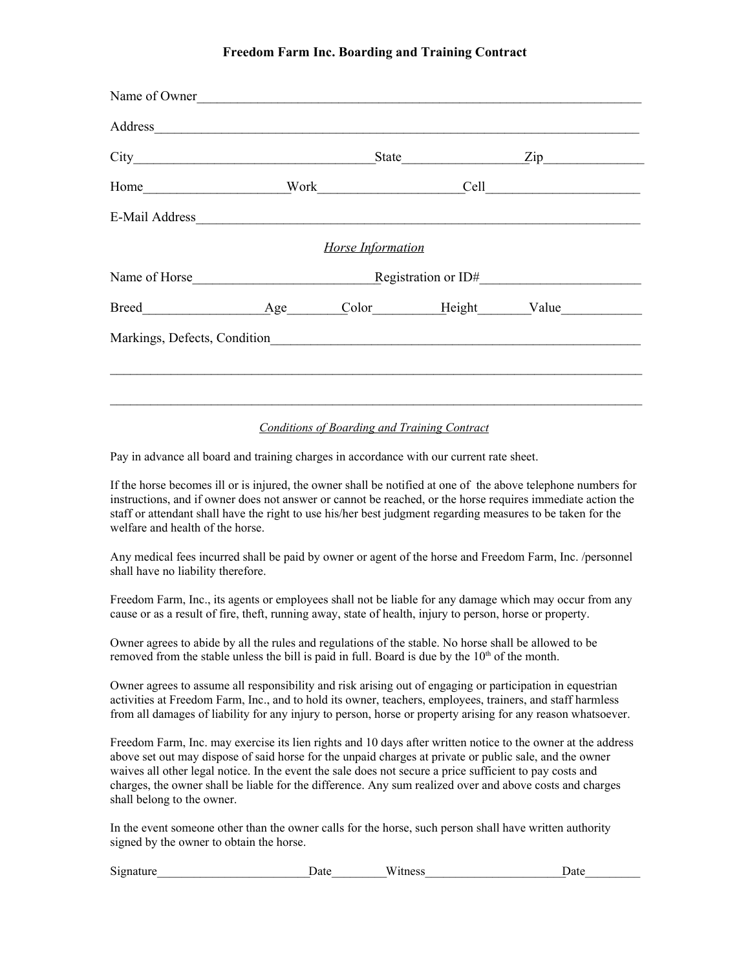## **Freedom Farm Inc. Boarding and Training Contract**

|                              | State <u>Zip</u> |                          |  |  |  |
|------------------------------|------------------|--------------------------|--|--|--|
|                              |                  |                          |  |  |  |
|                              |                  |                          |  |  |  |
|                              |                  | <b>Horse Information</b> |  |  |  |
|                              |                  |                          |  |  |  |
| Breed Age Color Height Value |                  |                          |  |  |  |
|                              |                  |                          |  |  |  |

## *Conditions of Boarding and Training Contract*

Pay in advance all board and training charges in accordance with our current rate sheet.

If the horse becomes ill or is injured, the owner shall be notified at one of the above telephone numbers for instructions, and if owner does not answer or cannot be reached, or the horse requires immediate action the staff or attendant shall have the right to use his/her best judgment regarding measures to be taken for the welfare and health of the horse.

Any medical fees incurred shall be paid by owner or agent of the horse and Freedom Farm, Inc. /personnel shall have no liability therefore.

Freedom Farm, Inc., its agents or employees shall not be liable for any damage which may occur from any cause or as a result of fire, theft, running away, state of health, injury to person, horse or property.

Owner agrees to abide by all the rules and regulations of the stable. No horse shall be allowed to be removed from the stable unless the bill is paid in full. Board is due by the  $10<sup>th</sup>$  of the month.

Owner agrees to assume all responsibility and risk arising out of engaging or participation in equestrian activities at Freedom Farm, Inc., and to hold its owner, teachers, employees, trainers, and staff harmless from all damages of liability for any injury to person, horse or property arising for any reason whatsoever.

Freedom Farm, Inc. may exercise its lien rights and 10 days after written notice to the owner at the address above set out may dispose of said horse for the unpaid charges at private or public sale, and the owner waives all other legal notice. In the event the sale does not secure a price sufficient to pay costs and charges, the owner shall be liable for the difference. Any sum realized over and above costs and charges shall belong to the owner.

In the event someone other than the owner calls for the horse, such person shall have written authority signed by the owner to obtain the horse.

| $\sim\cdot$<br>Signature | <sub>date</sub> | $- - -$<br>'itness<br>W | <b>Date</b> |
|--------------------------|-----------------|-------------------------|-------------|
|                          |                 |                         |             |